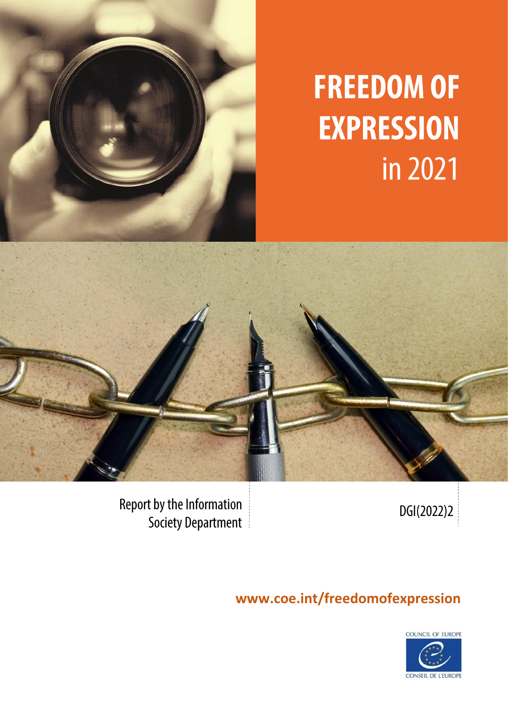

# **FREEDOM OF EXPRESSION** in 2021



DGI(2022)2

**Report by the Information** Society Department

# **www.coe.int/freedomofexpression**

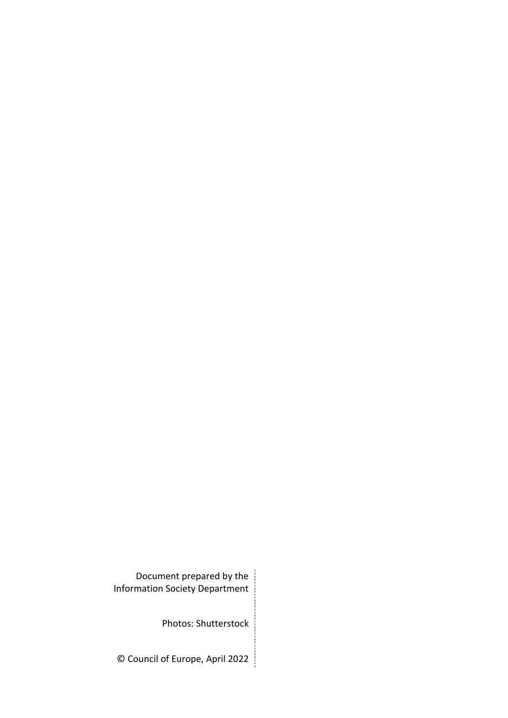Document prepared by the Information Society Department

Photos: Shutterstock

© Council of Europe, April 2022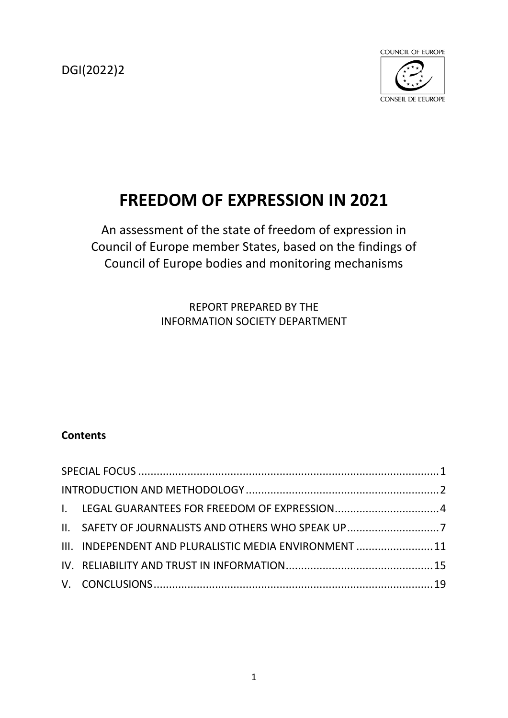DGI(2022)2



# **FREEDOM OF EXPRESSION IN 2021**

An assessment of the state of freedom of expression in Council of Europe member States, based on the findings of Council of Europe bodies and monitoring mechanisms

> REPORT PREPARED BY THE INFORMATION SOCIETY DEPARTMENT

# **Contents**

<span id="page-2-0"></span>

|  | I. LEGAL GUARANTEES FOR FREEDOM OF EXPRESSION4         |  |
|--|--------------------------------------------------------|--|
|  | II. SAFETY OF JOURNALISTS AND OTHERS WHO SPEAK UP7     |  |
|  | III. INDEPENDENT AND PLURALISTIC MEDIA ENVIRONMENT  11 |  |
|  |                                                        |  |
|  |                                                        |  |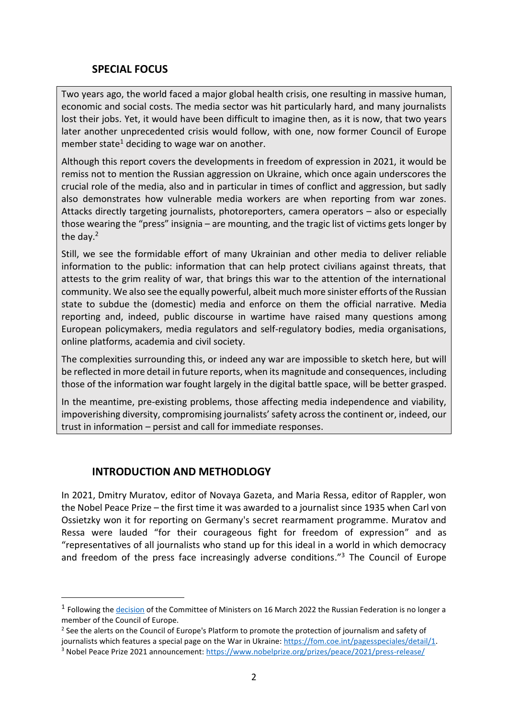#### **SPECIAL FOCUS**

Two years ago, the world faced a major global health crisis, one resulting in massive human, economic and social costs. The media sector was hit particularly hard, and many journalists lost their jobs. Yet, it would have been difficult to imagine then, as it is now, that two years later another unprecedented crisis would follow, with one, now former Council of Europe member state<sup>1</sup> deciding to wage war on another.

Although this report covers the developments in freedom of expression in 2021, it would be remiss not to mention the Russian aggression on Ukraine, which once again underscores the crucial role of the media, also and in particular in times of conflict and aggression, but sadly also demonstrates how vulnerable media workers are when reporting from war zones. Attacks directly targeting journalists, photoreporters, camera operators – also or especially those wearing the "press" insignia – are mounting, and the tragic list of victims gets longer by the day.<sup>2</sup>

Still, we see the formidable effort of many Ukrainian and other media to deliver reliable information to the public: information that can help protect civilians against threats, that attests to the grim reality of war, that brings this war to the attention of the international community. We also see the equally powerful, albeit much more sinister efforts of the Russian state to subdue the (domestic) media and enforce on them the official narrative. Media reporting and, indeed, public discourse in wartime have raised many questions among European policymakers, media regulators and self-regulatory bodies, media organisations, online platforms, academia and civil society.

The complexities surrounding this, or indeed any war are impossible to sketch here, but will be reflected in more detail in future reports, when its magnitude and consequences, including those of the information war fought largely in the digital battle space, will be better grasped.

In the meantime, pre-existing problems, those affecting media independence and viability, impoverishing diversity, compromising journalists' safety across the continent or, indeed, our trust in information – persist and call for immediate responses.

#### <span id="page-3-0"></span>**INTRODUCTION AND METHODLOGY**

In 2021, Dmitry Muratov, editor of Novaya Gazeta, and Maria Ressa, editor of Rappler, won the Nobel Peace Prize – the first time it was awarded to a journalist since 1935 when Carl von Ossietzky won it for reporting on Germany's secret rearmament programme. Muratov and Ressa were lauded "for their courageous fight for freedom of expression" and as "representatives of all journalists who stand up for this ideal in a world in which democracy and freedom of the press face increasingly adverse conditions."<sup>3</sup> The Council of Europe

<sup>&</sup>lt;sup>1</sup> Following the *[decision](https://search.coe.int/cm/pages/result_details.aspx?objectid=0900001680a5d7d9)* of the Committee of Ministers on 16 March 2022 the Russian Federation is no longer a member of the Council of Europe.

<sup>&</sup>lt;sup>2</sup> See the alerts on the Council of Europe's Platform to promote the protection of journalism and safety of journalists which features a special page on the War in Ukraine[: https://fom.coe.int/pagesspeciales/detail/1.](https://fom.coe.int/pagesspeciales/detail/1)

<sup>3</sup> Nobel Peace Prize 2021 announcement:<https://www.nobelprize.org/prizes/peace/2021/press-release/>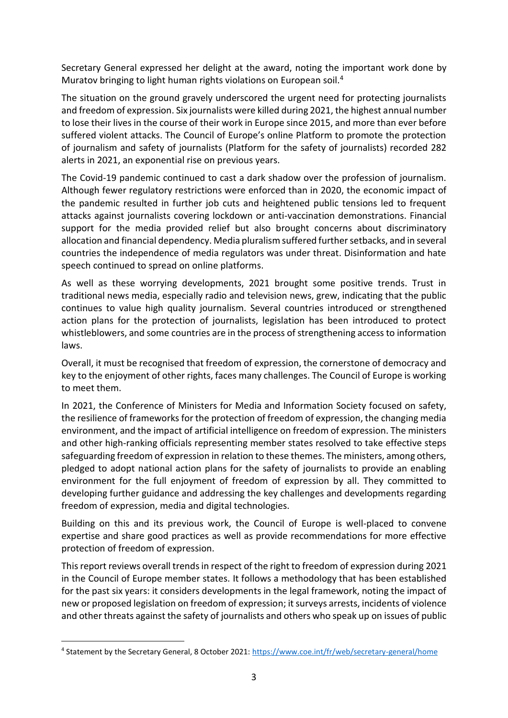Secretary General expressed her delight at the award, noting the important work done by Muratov bringing to light human rights violations on European soil.<sup>4</sup>

The situation on the ground gravely underscored the urgent need for protecting journalists and freedom of expression. Six journalists were killed during 2021, the highest annual number to lose their lives in the course of their work in Europe since 2015, and more than ever before suffered violent attacks. The Council of Europe's online Platform to promote the protection of journalism and safety of journalists (Platform for the safety of journalists) recorded 282 alerts in 2021, an exponential rise on previous years.

The Covid-19 pandemic continued to cast a dark shadow over the profession of journalism. Although fewer regulatory restrictions were enforced than in 2020, the economic impact of the pandemic resulted in further job cuts and heightened public tensions led to frequent attacks against journalists covering lockdown or anti-vaccination demonstrations. Financial support for the media provided relief but also brought concerns about discriminatory allocation and financial dependency. Media pluralism suffered further setbacks, and in several countries the independence of media regulators was under threat. Disinformation and hate speech continued to spread on online platforms.

As well as these worrying developments, 2021 brought some positive trends. Trust in traditional news media, especially radio and television news, grew, indicating that the public continues to value high quality journalism. Several countries introduced or strengthened action plans for the protection of journalists, legislation has been introduced to protect whistleblowers, and some countries are in the process of strengthening access to information laws.

Overall, it must be recognised that freedom of expression, the cornerstone of democracy and key to the enjoyment of other rights, faces many challenges. The Council of Europe is working to meet them.

In 2021, the Conference of Ministers for Media and Information Society focused on safety, the resilience of frameworks for the protection of freedom of expression, the changing media environment, and the impact of artificial intelligence on freedom of expression. The ministers and other high-ranking officials representing member states resolved to take effective steps safeguarding freedom of expression in relation to these themes. The ministers, among others, pledged to adopt national action plans for the safety of journalists to provide an enabling environment for the full enjoyment of freedom of expression by all. They committed to developing further guidance and addressing the key challenges and developments regarding freedom of expression, media and digital technologies.

Building on this and its previous work, the Council of Europe is well-placed to convene expertise and share good practices as well as provide recommendations for more effective protection of freedom of expression.

This report reviews overall trends in respect of the right to freedom of expression during 2021 in the Council of Europe member states. It follows a methodology that has been established for the past six years: it considers developments in the legal framework, noting the impact of new or proposed legislation on freedom of expression; it surveys arrests, incidents of violence and other threats against the safety of journalists and others who speak up on issues of public

<sup>&</sup>lt;sup>4</sup> Statement by the Secretary General, 8 October 2021:<https://www.coe.int/fr/web/secretary-general/home>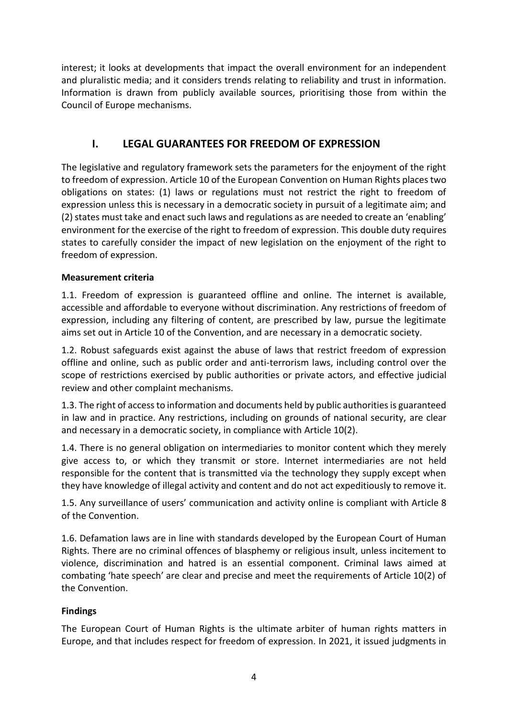interest; it looks at developments that impact the overall environment for an independent and pluralistic media; and it considers trends relating to reliability and trust in information. Information is drawn from publicly available sources, prioritising those from within the Council of Europe mechanisms.

### **I. LEGAL GUARANTEES FOR FREEDOM OF EXPRESSION**

<span id="page-5-0"></span>The legislative and regulatory framework sets the parameters for the enjoyment of the right to freedom of expression. Article 10 of the European Convention on Human Rights places two obligations on states: (1) laws or regulations must not restrict the right to freedom of expression unless this is necessary in a democratic society in pursuit of a legitimate aim; and (2) states must take and enact such laws and regulations as are needed to create an 'enabling' environment for the exercise of the right to freedom of expression. This double duty requires states to carefully consider the impact of new legislation on the enjoyment of the right to freedom of expression.

#### **Measurement criteria**

1.1. Freedom of expression is guaranteed offline and online. The internet is available, accessible and affordable to everyone without discrimination. Any restrictions of freedom of expression, including any filtering of content, are prescribed by law, pursue the legitimate aims set out in Article 10 of the Convention, and are necessary in a democratic society.

1.2. Robust safeguards exist against the abuse of laws that restrict freedom of expression offline and online, such as public order and anti-terrorism laws, including control over the scope of restrictions exercised by public authorities or private actors, and effective judicial review and other complaint mechanisms.

1.3. The right of access to information and documents held by public authorities is guaranteed in law and in practice. Any restrictions, including on grounds of national security, are clear and necessary in a democratic society, in compliance with Article 10(2).

1.4. There is no general obligation on intermediaries to monitor content which they merely give access to, or which they transmit or store. Internet intermediaries are not held responsible for the content that is transmitted via the technology they supply except when they have knowledge of illegal activity and content and do not act expeditiously to remove it.

1.5. Any surveillance of users' communication and activity online is compliant with Article 8 of the Convention.

1.6. Defamation laws are in line with standards developed by the European Court of Human Rights. There are no criminal offences of blasphemy or religious insult, unless incitement to violence, discrimination and hatred is an essential component. Criminal laws aimed at combating 'hate speech' are clear and precise and meet the requirements of Article 10(2) of the Convention.

#### **Findings**

The European Court of Human Rights is the ultimate arbiter of human rights matters in Europe, and that includes respect for freedom of expression. In 2021, it issued judgments in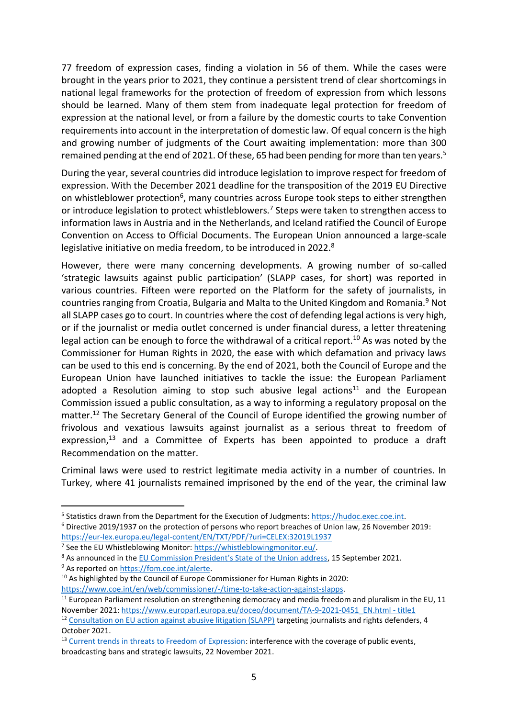77 freedom of expression cases, finding a violation in 56 of them. While the cases were brought in the years prior to 2021, they continue a persistent trend of clear shortcomings in national legal frameworks for the protection of freedom of expression from which lessons should be learned. Many of them stem from inadequate legal protection for freedom of expression at the national level, or from a failure by the domestic courts to take Convention requirements into account in the interpretation of domestic law. Of equal concern is the high and growing number of judgments of the Court awaiting implementation: more than 300 remained pending at the end of 2021. Of these, 65 had been pending for more than ten years.<sup>5</sup>

During the year, several countries did introduce legislation to improve respect for freedom of expression. With the December 2021 deadline for the transposition of the 2019 EU Directive on whistleblower protection<sup>6</sup>, many countries across Europe took steps to either strengthen or introduce legislation to protect whistleblowers.<sup>7</sup> Steps were taken to strengthen access to information laws in Austria and in the Netherlands, and Iceland ratified the Council of Europe Convention on Access to Official Documents. The European Union announced a large-scale legislative initiative on media freedom, to be introduced in 2022.<sup>8</sup>

However, there were many concerning developments. A growing number of so-called 'strategic lawsuits against public participation' (SLAPP cases, for short) was reported in various countries. Fifteen were reported on the Platform for the safety of journalists, in countries ranging from Croatia, Bulgaria and Malta to the United Kingdom and Romania.<sup>9</sup> Not all SLAPP cases go to court. In countries where the cost of defending legal actions is very high, or if the journalist or media outlet concerned is under financial duress, a letter threatening legal action can be enough to force the withdrawal of a critical report.<sup>10</sup> As was noted by the Commissioner for Human Rights in 2020, the ease with which defamation and privacy laws can be used to this end is concerning. By the end of 2021, both the Council of Europe and the European Union have launched initiatives to tackle the issue: the European Parliament adopted a Resolution aiming to stop such abusive legal actions<sup>11</sup> and the European Commission issued a public consultation, as a way to informing a regulatory proposal on the matter.<sup>12</sup> The Secretary General of the Council of Europe identified the growing number of frivolous and vexatious lawsuits against journalist as a serious threat to freedom of expression,<sup>13</sup> and a Committee of Experts has been appointed to produce a draft Recommendation on the matter.

Criminal laws were used to restrict legitimate media activity in a number of countries. In Turkey, where 41 journalists remained imprisoned by the end of the year, the criminal law

<sup>9</sup> As reported o[n https://fom.coe.int/alerte.](https://fom.coe.int/alerte) 

<sup>&</sup>lt;sup>5</sup> Statistics drawn from the Department for the Execution of Judgments: [https://hudoc.exec.coe.int.](https://hudoc.exec.coe.int/)

<sup>6</sup> Directive 2019/1937 on the protection of persons who report breaches of Union law, 26 November 2019: <https://eur-lex.europa.eu/legal-content/EN/TXT/PDF/?uri=CELEX:32019L1937>

<sup>&</sup>lt;sup>7</sup> See the EU Whistleblowing Monitor[: https://whistleblowingmonitor.eu/.](https://whistleblowingmonitor.eu/)

<sup>&</sup>lt;sup>8</sup> As announced in the [EU Commission President's State of the Union address](https://ec.europa.eu/info/sites/default/files/soteu_2021_address_en_0.pdf), 15 September 2021.

<sup>&</sup>lt;sup>10</sup> As highlighted by the Council of Europe Commissioner for Human Rights in 2020: [https://www.coe.int/en/web/commissioner/-/time-to-take-action-against-slapps.](https://www.coe.int/en/web/commissioner/-/time-to-take-action-against-slapps)

 $11$  European Parliament resolution on strengthening democracy and media freedom and pluralism in the EU, 11 November 2021[: https://www.europarl.europa.eu/doceo/document/TA-9-2021-0451\\_EN.html -](https://www.europarl.europa.eu/doceo/document/TA-9-2021-0451_EN.html#title1) title1

<sup>&</sup>lt;sup>12</sup> [Consultation on EU action against abusive litigation \(SLAPP\)](https://ec.europa.eu/info/law/better-regulation/have-your-say/initiatives/13192-EU-action-against-abusive-litigation-SLAPP-targeting-journalists-and-rights-defenders_en) targeting journalists and rights defenders, 4 October 2021.

<sup>&</sup>lt;sup>13</sup> [Current trends in threats to Freedom of Expression:](https://rm.coe.int/native/0900001680a4a958) interference with the coverage of public events, broadcasting bans and strategic lawsuits, 22 November 2021.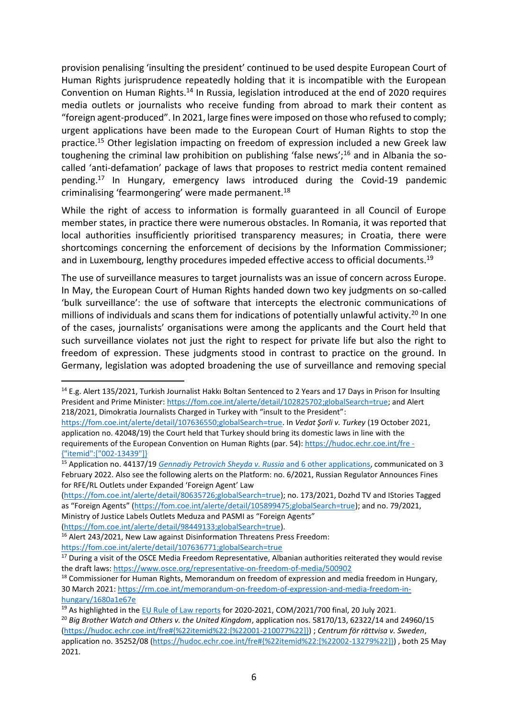provision penalising 'insulting the president' continued to be used despite European Court of Human Rights jurisprudence repeatedly holding that it is incompatible with the European Convention on Human Rights.<sup>14</sup> In Russia, legislation introduced at the end of 2020 requires media outlets or journalists who receive funding from abroad to mark their content as "foreign agent-produced". In 2021, large fines were imposed on those who refused to comply; urgent applications have been made to the European Court of Human Rights to stop the practice.<sup>15</sup> Other legislation impacting on freedom of expression included a new Greek law toughening the criminal law prohibition on publishing 'false news';<sup>16</sup> and in Albania the socalled 'anti-defamation' package of laws that proposes to restrict media content remained pending.<sup>17</sup> In Hungary, emergency laws introduced during the Covid-19 pandemic criminalising 'fearmongering' were made permanent.<sup>18</sup>

While the right of access to information is formally guaranteed in all Council of Europe member states, in practice there were numerous obstacles. In Romania, it was reported that local authorities insufficiently prioritised transparency measures; in Croatia, there were shortcomings concerning the enforcement of decisions by the Information Commissioner; and in Luxembourg, lengthy procedures impeded effective access to official documents.<sup>19</sup>

The use of surveillance measures to target journalists was an issue of concern across Europe. In May, the European Court of Human Rights handed down two key judgments on so-called 'bulk surveillance': the use of software that intercepts the electronic communications of millions of individuals and scans them for indications of potentially unlawful activity.<sup>20</sup> In one of the cases, journalists' organisations were among the applicants and the Court held that such surveillance violates not just the right to respect for private life but also the right to freedom of expression. These judgments stood in contrast to practice on the ground. In Germany, legislation was adopted broadening the use of surveillance and removing special

[\(https://fom.coe.int/alerte/detail/80635726;globalSearch=true\)](https://fom.coe.int/alerte/detail/80635726;globalSearch=true); no. 173/2021, Dozhd TV and IStories Tagged as "Foreign Agents" [\(https://fom.coe.int/alerte/detail/105899475;globalSearch=true\)](https://fom.coe.int/alerte/detail/105899475;globalSearch=true); and no. 79/2021, Ministry of Justice Labels Outlets Meduza and PASMI as "Foreign Agents"

<https://fom.coe.int/alerte/detail/107636771;globalSearch=true>

<sup>&</sup>lt;sup>14</sup> E.g. Alert 135/2021, Turkish Journalist Hakkı Boltan Sentenced to 2 Years and 17 Days in Prison for Insulting President and Prime Minister: [https://fom.coe.int/alerte/detail/102825702;globalSearch=true;](https://fom.coe.int/alerte/detail/102825702;globalSearch=true) and Alert 218/2021, Dimokratia Journalists Charged in Turkey with "insult to the President":

[https://fom.coe.int/alerte/detail/107636550;globalSearch=true.](https://fom.coe.int/alerte/detail/107636550;globalSearch=true) In *Vedat Şorli v. Turkey* (19 October 2021, application no. 42048/19) the Court held that Turkey should bring its domestic laws in line with the requirements of the European Convention on Human Rights (par. 54): [https://hudoc.echr.coe.int/fre -](https://hudoc.echr.coe.int/fre%20-%20%7b%22itemid%22:%5b%22002-13439%22%5d%7d) [{"itemid":\["002-13439"\]}](https://hudoc.echr.coe.int/fre%20-%20%7b%22itemid%22:%5b%22002-13439%22%5d%7d)

<sup>15</sup> Application no. 44137/19 *[Gennadiy Petrovich Sheyda v. Russia](https://hudoc.echr.coe.int/eng?i=001-216008)* and 6 other applications, communicated on 3 February 2022. Also see the following alerts on the Platform: no. 6/2021, Russian Regulator Announces Fines for RFE/RL Outlets under Expanded 'Foreign Agent' Law

[<sup>\(</sup>https://fom.coe.int/alerte/detail/98449133;globalSearch=true\)](https://fom.coe.int/alerte/detail/98449133;globalSearch=true).

<sup>16</sup> Alert 243/2021, New Law against Disinformation Threatens Press Freedom:

<sup>&</sup>lt;sup>17</sup> During a visit of the OSCE Media Freedom Representative, Albanian authorities reiterated they would revise the draft laws:<https://www.osce.org/representative-on-freedom-of-media/500902>

<sup>&</sup>lt;sup>18</sup> Commissioner for Human Rights, Memorandum on freedom of expression and media freedom in Hungary, 30 March 2021: [https://rm.coe.int/memorandum-on-freedom-of-expression-and-media-freedom-in](https://rm.coe.int/memorandum-on-freedom-of-expression-and-media-freedom-in-hungary/1680a1e67e)[hungary/1680a1e67e](https://rm.coe.int/memorandum-on-freedom-of-expression-and-media-freedom-in-hungary/1680a1e67e)

<sup>&</sup>lt;sup>19</sup> As highlighted in th[e EU Rule of Law reports](https://ec.europa.eu/info/policies/justice-and-fundamental-rights/upholding-rule-law/rule-law/rule-law-mechanism/2021-rule-law-report_en) for 2020-2021, COM/2021/700 final, 20 July 2021.

<sup>20</sup> *Big Brother Watch and Others v. the United Kingdom*, application nos. 58170/13, 62322/14 and 24960/15 [\(https://hudoc.echr.coe.int/fre#{%22itemid%22:\[%22001-210077%22\]}\)](https://hudoc.echr.coe.int/fre#{%22itemid%22:[%22001-210077%22]}) ; *Centrum för rättvisa v. Sweden*, application no. 35252/08 [\(https://hudoc.echr.coe.int/fre#{%22itemid%22:\[%22002-13279%22\]}\)](https://hudoc.echr.coe.int/fre#{%22itemid%22:[%22002-13279%22]}) , both 25 May 2021.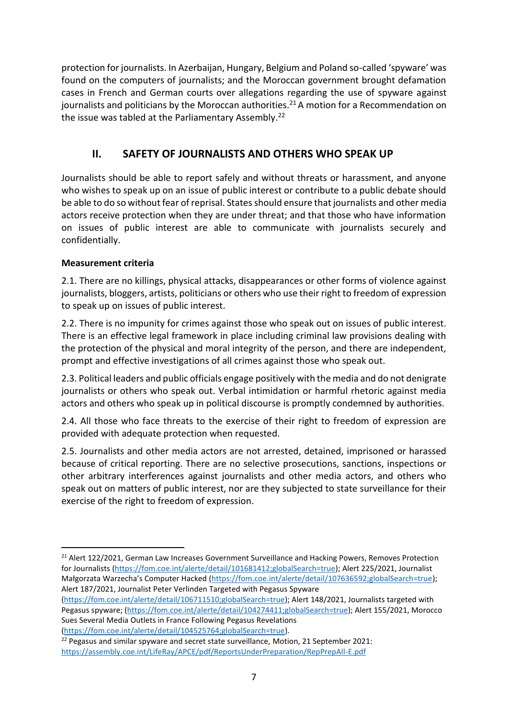protection for journalists. In Azerbaijan, Hungary, Belgium and Poland so-called 'spyware' was found on the computers of journalists; and the Moroccan government brought defamation cases in French and German courts over allegations regarding the use of spyware against journalists and politicians by the Moroccan authorities.<sup>21</sup> A motion for a Recommendation on the issue was tabled at the Parliamentary Assembly.<sup>22</sup>

## **II. SAFETY OF JOURNALISTS AND OTHERS WHO SPEAK UP**

<span id="page-8-0"></span>Journalists should be able to report safely and without threats or harassment, and anyone who wishes to speak up on an issue of public interest or contribute to a public debate should be able to do so without fear of reprisal. States should ensure that journalists and other media actors receive protection when they are under threat; and that those who have information on issues of public interest are able to communicate with journalists securely and confidentially.

#### **Measurement criteria**

2.1. There are no killings, physical attacks, disappearances or other forms of violence against journalists, bloggers, artists, politicians or others who use their right to freedom of expression to speak up on issues of public interest.

2.2. There is no impunity for crimes against those who speak out on issues of public interest. There is an effective legal framework in place including criminal law provisions dealing with the protection of the physical and moral integrity of the person, and there are independent, prompt and effective investigations of all crimes against those who speak out.

2.3. Political leaders and public officials engage positively with the media and do not denigrate journalists or others who speak out. Verbal intimidation or harmful rhetoric against media actors and others who speak up in political discourse is promptly condemned by authorities.

2.4. All those who face threats to the exercise of their right to freedom of expression are provided with adequate protection when requested.

2.5. Journalists and other media actors are not arrested, detained, imprisoned or harassed because of critical reporting. There are no selective prosecutions, sanctions, inspections or other arbitrary interferences against journalists and other media actors, and others who speak out on matters of public interest, nor are they subjected to state surveillance for their exercise of the right to freedom of expression.

<sup>&</sup>lt;sup>21</sup> Alert 122/2021, German Law Increases Government Surveillance and Hacking Powers, Removes Protection for Journalists [\(https://fom.coe.int/alerte/detail/101681412;globalSearch=true\)](https://fom.coe.int/alerte/detail/101681412;globalSearch=true); Alert 225/2021, Journalist Małgorzata Warzecha's Computer Hacked [\(https://fom.coe.int/alerte/detail/107636592;globalSearch=true\)](https://fom.coe.int/alerte/detail/107636592;globalSearch=true); Alert 187/2021, Journalist Peter Verlinden Targeted with Pegasus Spyware

[<sup>\(</sup>https://fom.coe.int/alerte/detail/106711510;globalSearch=true\)](https://fom.coe.int/alerte/detail/106711510;globalSearch=true); Alert 148/2021, Journalists targeted with Pegasus spyware; [\(https://fom.coe.int/alerte/detail/104274411;globalSearch=true\)](https://fom.coe.int/alerte/detail/104274411;globalSearch=true); Alert 155/2021, Morocco Sues Several Media Outlets in France Following Pegasus Revelations

[<sup>\(</sup>https://fom.coe.int/alerte/detail/104525764;globalSearch=true\)](https://fom.coe.int/alerte/detail/104525764;globalSearch=true).

 $22$  Pegasus and similar spyware and secret state surveillance, Motion, 21 September 2021: <https://assembly.coe.int/LifeRay/APCE/pdf/ReportsUnderPreparation/RepPrepAll-E.pdf>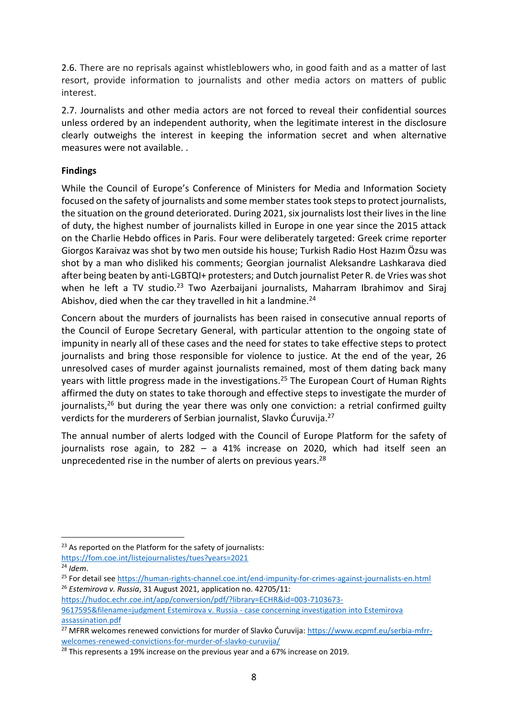2.6. There are no reprisals against whistleblowers who, in good faith and as a matter of last resort, provide information to journalists and other media actors on matters of public interest.

2.7. Journalists and other media actors are not forced to reveal their confidential sources unless ordered by an independent authority, when the legitimate interest in the disclosure clearly outweighs the interest in keeping the information secret and when alternative measures were not available. .

#### **Findings**

While the Council of Europe's Conference of Ministers for Media and Information Society focused on the safety of journalists and some member states took steps to protect journalists, the situation on the ground deteriorated. During 2021, six journalists lost their lives in the line of duty, the highest number of journalists killed in Europe in one year since the 2015 attack on the Charlie Hebdo offices in Paris. Four were deliberately targeted: Greek crime reporter Giorgos Karaivaz was shot by two men outside his house; Turkish Radio Host Hazım Özsu was shot by a man who disliked his comments; Georgian journalist Aleksandre Lashkarava died after being beaten by anti-LGBTQI+ protesters; and Dutch journalist Peter R. de Vries was shot when he left a TV studio.<sup>23</sup> Two Azerbaijani journalists, Maharram Ibrahimov and Siraj Abishov, died when the car they travelled in hit a landmine.<sup>24</sup>

Concern about the murders of journalists has been raised in consecutive annual reports of the Council of Europe Secretary General, with particular attention to the ongoing state of impunity in nearly all of these cases and the need for states to take effective steps to protect journalists and bring those responsible for violence to justice. At the end of the year, 26 unresolved cases of murder against journalists remained, most of them dating back many years with little progress made in the investigations.<sup>25</sup> The European Court of Human Rights affirmed the duty on states to take thorough and effective steps to investigate the murder of journalists,  $26$  but during the year there was only one conviction: a retrial confirmed guilty verdicts for the murderers of Serbian journalist, Slavko Ćuruvija.<sup>27</sup>

The annual number of alerts lodged with the Council of Europe Platform for the safety of journalists rose again, to 282 – a 41% increase on 2020, which had itself seen an unprecedented rise in the number of alerts on previous years.<sup>28</sup>

[https://hudoc.echr.coe.int/app/conversion/pdf/?library=ECHR&id=003-7103673-](https://hudoc.echr.coe.int/app/conversion/pdf/?library=ECHR&id=003-7103673-9617595&filename=judgment%20Estemirova%20v.%20Russia%20-%20case%20concerning%20investigaion%20into%20Estemirova%20assassination.pdf)

[9617595&filename=judgment Estemirova v. Russia -](https://hudoc.echr.coe.int/app/conversion/pdf/?library=ECHR&id=003-7103673-9617595&filename=judgment%20Estemirova%20v.%20Russia%20-%20case%20concerning%20investigaion%20into%20Estemirova%20assassination.pdf) case concerning investigation into Estemirova [assassination.pdf](https://hudoc.echr.coe.int/app/conversion/pdf/?library=ECHR&id=003-7103673-9617595&filename=judgment%20Estemirova%20v.%20Russia%20-%20case%20concerning%20investigaion%20into%20Estemirova%20assassination.pdf)

 $23$  As reported on the Platform for the safety of journalists: <https://fom.coe.int/listejournalistes/tues?years=2021>

<sup>24</sup> *Idem*.

<sup>25</sup> For detail see<https://human-rights-channel.coe.int/end-impunity-for-crimes-against-journalists-en.html> <sup>26</sup> *Estemirova v. Russia*, 31 August 2021, application no. 42705/11:

<sup>&</sup>lt;sup>27</sup> MFRR welcomes renewed convictions for murder of Slavko Ćuruvija: [https://www.ecpmf.eu/serbia-mfrr](https://www.ecpmf.eu/serbia-mfrr-welcomes-renewed-convictions-for-murder-of-slavko-curuvija/)[welcomes-renewed-convictions-for-murder-of-slavko-curuvija/](https://www.ecpmf.eu/serbia-mfrr-welcomes-renewed-convictions-for-murder-of-slavko-curuvija/)

 $28$  This represents a 19% increase on the previous year and a 67% increase on 2019.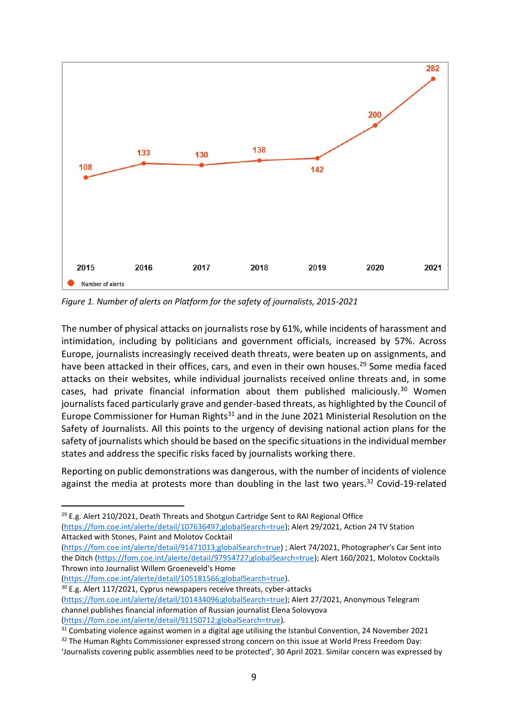

*Figure 1. Number of alerts on Platform for the safety of journalists, 2015-2021*

The number of physical attacks on journalists rose by 61%, while incidents of harassment and intimidation, including by politicians and government officials, increased by 57%. Across Europe, journalists increasingly received death threats, were beaten up on assignments, and have been attacked in their offices, cars, and even in their own houses.<sup>29</sup> Some media faced attacks on their websites, while individual journalists received online threats and, in some cases, had private financial information about them published maliciously.<sup>30</sup> Women journalists faced particularly grave and gender-based threats, as highlighted by the Council of Europe Commissioner for Human Rights<sup>31</sup> and in the June 2021 Ministerial Resolution on the Safety of Journalists. All this points to the urgency of devising national action plans for the safety of journalists which should be based on the specific situations in the individual member states and address the specific risks faced by journalists working there.

Reporting on public demonstrations was dangerous, with the number of incidents of violence against the media at protests more than doubling in the last two years. $32$  Covid-19-related

<sup>29</sup> E.g. Alert 210/2021, Death Threats and Shotgun Cartridge Sent to RAI Regional Office [\(https://fom.coe.int/alerte/detail/107636497;globalSearch=true\)](https://fom.coe.int/alerte/detail/107636497;globalSearch=true); Alert 29/2021, Action 24 TV Station Attacked with Stones, Paint and Molotov Cocktail

[\(https://fom.coe.int/alerte/detail/91471013;globalSearch=true\)](https://fom.coe.int/alerte/detail/91471013;globalSearch=true) ; Alert 74/2021, Photographer's Car Sent into the Ditch [\(https://fom.coe.int/alerte/detail/97954727;globalSearch=true\)](https://fom.coe.int/alerte/detail/97954727;globalSearch=true); Alert 160/2021, Molotov Cocktails Thrown into Journalist Willem Groeneveld's Home

[\(https://fom.coe.int/alerte/detail/105181566;globalSearch=true\)](https://fom.coe.int/alerte/detail/105181566;globalSearch=true).

<sup>30</sup> E.g. Alert 117/2021, Cyprus newspapers receive threats, cyber-attacks

<sup>31</sup> Combating violence against women in a digital age utilising the Istanbul Convention, 24 November 2021

[<sup>\(</sup>https://fom.coe.int/alerte/detail/101434096;globalSearch=true\)](https://fom.coe.int/alerte/detail/101434096;globalSearch=true); Alert 27/2021, Anonymous Telegram channel publishes financial information of Russian journalist Elena Solovyova [\(https://fom.coe.int/alerte/detail/91150712;globalSearch=true\)](https://fom.coe.int/alerte/detail/91150712;globalSearch=true).

<sup>&</sup>lt;sup>32</sup> The Human Rights Commissioner expressed strong concern on this issue at World Press Freedom Day:

<sup>&#</sup>x27;Journalists covering public assemblies need to be protected', 30 April 2021. Similar concern was expressed by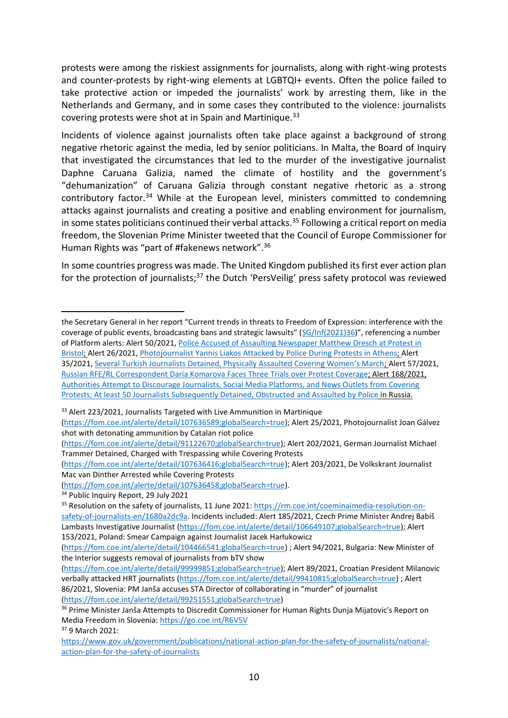protests were among the riskiest assignments for journalists, along with right-wing protests and counter-protests by right-wing elements at LGBTQI+ events. Often the police failed to take protective action or impeded the journalists' work by arresting them, like in the Netherlands and Germany, and in some cases they contributed to the violence: journalists covering protests were shot at in Spain and Martinique.<sup>33</sup>

Incidents of violence against journalists often take place against a background of strong negative rhetoric against the media, led by senior politicians. In Malta, the Board of Inquiry that investigated the circumstances that led to the murder of the investigative journalist Daphne Caruana Galizia, named the climate of hostility and the government's "dehumanization" of Caruana Galizia through constant negative rhetoric as a strong contributory factor.<sup>34</sup> While at the European level, ministers committed to condemning attacks against journalists and creating a positive and enabling environment for journalism, in some states politicians continued their verbal attacks.<sup>35</sup> Following a critical report on media freedom, the Slovenian Prime Minister tweeted that the Council of Europe Commissioner for Human Rights was "part of #fakenews network". 36

In some countries progress was made. The United Kingdom published its first ever action plan for the protection of journalists;<sup>37</sup> the Dutch 'PersVeilig' press safety protocol was reviewed

<sup>33</sup> Alert 223/2021, Journalists Targeted with Live Ammunition in Martinique

[\(https://fom.coe.int/alerte/detail/107636589;globalSearch=true\)](https://fom.coe.int/alerte/detail/107636589;globalSearch=true); Alert 25/2021, Photojournalist Joan Gálvez shot with detonating ammunition by Catalan riot police

[\(https://fom.coe.int/alerte/detail/107636416;globalSearch=true\)](https://fom.coe.int/alerte/detail/107636416;globalSearch=true); Alert 203/2021, De Volkskrant Journalist Mac van Dinther Arrested while Covering Protests

[\(https://fom.coe.int/alerte/detail/107636458;globalSearch=true\)](https://fom.coe.int/alerte/detail/107636458;globalSearch=true).

<sup>37</sup> 9 March 2021:

the Secretary General in her report "Current trends in threats to Freedom of Expression: interference with the coverage of public events, broadcasting bans and strategic lawsuits" ([SG/Inf\(2021\)36](https://rm.coe.int/native/0900001680a4a958))", referencing a number of Platform alerts: Alert 50/2021, [Police Accused of Assaulting Newspaper Matthew Dresch at Protest in](https://go.coe.int/K1Vdy)  [Bristol;](https://go.coe.int/K1Vdy) Alert 26/2021, [Photojournalist Yannis Liakos Attacked by Police During Protests in Athens;](https://go.coe.int/euaof) Alert 35/2021, [Several Turkish Journalists Detained, Physically Assaulted Covering Women's March](https://go.coe.int/BsSGc); Alert 57/2021, [Russian RFE/RL Correspondent Daria Komarova Faces Three Trials over Protest Coverage;](https://go.coe.int/M4uqd) Alert 168/2021, [Authorities Attempt to Discourage Journalists, Social Media Platforms, and News Outlets from Covering](https://go.coe.int/FwIPz)  [Protests; At least 50 Journalists Subsequently Detained, Obstructed](https://go.coe.int/FwIPz) and Assaulted by Police in Russia.

[<sup>\(</sup>https://fom.coe.int/alerte/detail/91122670;globalSearch=true\)](https://fom.coe.int/alerte/detail/91122670;globalSearch=true); Alert 202/2021, German Journalist Michael Trammer Detained, Charged with Trespassing while Covering Protests

<sup>&</sup>lt;sup>34</sup> Public Inquiry Report, 29 July 2021

<sup>&</sup>lt;sup>35</sup> Resolution on the safety of journalists, 11 June 2021: [https://rm.coe.int/coeminaimedia-resolution-on](https://rm.coe.int/coeminaimedia-resolution-on-safety-of-journalists-en/1680a2dc9a)[safety-of-journalists-en/1680a2dc9a](https://rm.coe.int/coeminaimedia-resolution-on-safety-of-journalists-en/1680a2dc9a). Incidents included: Alert 185/2021, Czech Prime Minister Andrej Babiš Lambasts Investigative Journalist [\(https://fom.coe.int/alerte/detail/106649107;globalSearch=true\)](https://fom.coe.int/alerte/detail/106649107;globalSearch=true); Alert 153/2021, Poland: Smear Campaign against Journalist Jacek Harłukowicz

[<sup>\(</sup>https://fom.coe.int/alerte/detail/104466541;globalSearch=true\)](https://fom.coe.int/alerte/detail/104466541;globalSearch=true) ; Alert 94/2021, Bulgaria: New Minister of the Interior suggests removal of journalists from bTV show

[<sup>\(</sup>https://fom.coe.int/alerte/detail/99999851;globalSearch=true\)](https://fom.coe.int/alerte/detail/99999851;globalSearch=true); Alert 89/2021, Croatian President Milanovic verbally attacked HRT journalists [\(https://fom.coe.int/alerte/detail/99410815;globalSearch=true\)](https://fom.coe.int/alerte/detail/99410815;globalSearch=true) ; Alert 86/2021, Slovenia: PM Janša accuses STA Director of collaborating in "murder" of journalist [\(https://fom.coe.int/alerte/detail/99251551;globalSearch=true\)](https://fom.coe.int/alerte/detail/99251551;globalSearch=true)

<sup>&</sup>lt;sup>36</sup> Prime Minister Janša Attempts to Discredit Commissioner for Human Rights Dunja Mijatovic's Report on Media Freedom in Slovenia[: https://go.coe.int/R6V5V](https://go.coe.int/R6V5V)

[https://www.gov.uk/government/publications/national-action-plan-for-the-safety-of-journalists/national](https://www.gov.uk/government/publications/national-action-plan-for-the-safety-of-journalists/national-action-plan-for-the-safety-of-journalists)[action-plan-for-the-safety-of-journalists](https://www.gov.uk/government/publications/national-action-plan-for-the-safety-of-journalists/national-action-plan-for-the-safety-of-journalists)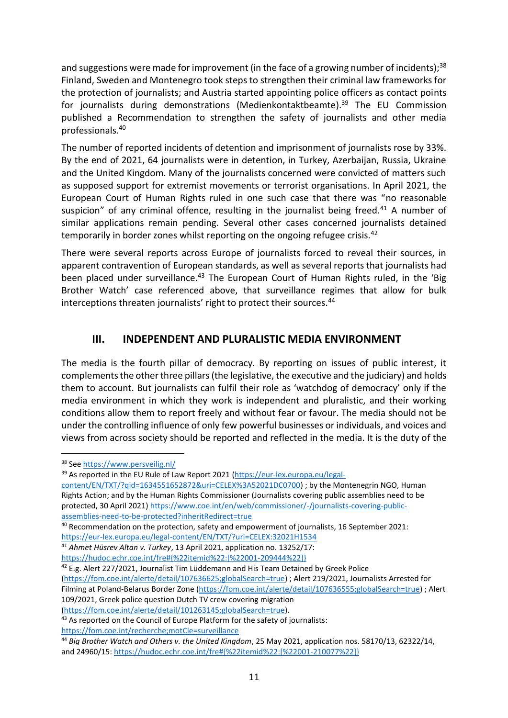and suggestions were made for improvement (in the face of a growing number of incidents);<sup>38</sup> Finland, Sweden and Montenegro took steps to strengthen their criminal law frameworks for the protection of journalists; and Austria started appointing police officers as contact points for journalists during demonstrations (Medienkontaktbeamte).<sup>39</sup> The EU Commission published a Recommendation to strengthen the safety of journalists and other media professionals.<sup>40</sup>

The number of reported incidents of detention and imprisonment of journalists rose by 33%. By the end of 2021, 64 journalists were in detention, in Turkey, Azerbaijan, Russia, Ukraine and the United Kingdom. Many of the journalists concerned were convicted of matters such as supposed support for extremist movements or terrorist organisations. In April 2021, the European Court of Human Rights ruled in one such case that there was "no reasonable suspicion" of any criminal offence, resulting in the journalist being freed.<sup>41</sup> A number of similar applications remain pending. Several other cases concerned journalists detained temporarily in border zones whilst reporting on the ongoing refugee crisis.<sup>42</sup>

There were several reports across Europe of journalists forced to reveal their sources, in apparent contravention of European standards, as well as several reports that journalists had been placed under surveillance.<sup>43</sup> The European Court of Human Rights ruled, in the 'Big Brother Watch' case referenced above, that surveillance regimes that allow for bulk interceptions threaten journalists' right to protect their sources.<sup>44</sup>

#### **III. INDEPENDENT AND PLURALISTIC MEDIA ENVIRONMENT**

<span id="page-12-0"></span>The media is the fourth pillar of democracy. By reporting on issues of public interest, it complements the other three pillars (the legislative, the executive and the judiciary) and holds them to account. But journalists can fulfil their role as 'watchdog of democracy' only if the media environment in which they work is independent and pluralistic, and their working conditions allow them to report freely and without fear or favour. The media should not be under the controlling influence of only few powerful businesses or individuals, and voices and views from across society should be reported and reflected in the media. It is the duty of the

<sup>38</sup> Se[e https://www.persveilig.nl/](https://www.persveilig.nl/)

<sup>39</sup> As reported in the EU Rule of Law Report 2021 [\(https://eur-lex.europa.eu/legal-](https://eur-lex.europa.eu/legal-content/EN/TXT/?qid=1634551652872&uri=CELEX%3A52021DC0700)

[content/EN/TXT/?qid=1634551652872&uri=CELEX%3A52021DC0700\)](https://eur-lex.europa.eu/legal-content/EN/TXT/?qid=1634551652872&uri=CELEX%3A52021DC0700) ; by the Montenegrin NGO, Human Rights Action; and by the Human Rights Commissioner (Journalists covering public assemblies need to be protected, 30 April 2021) [https://www.coe.int/en/web/commissioner/-/journalists-covering-public](https://www.coe.int/en/web/commissioner/-/journalists-covering-public-assemblies-need-to-be-protected?inheritRedirect=true)[assemblies-need-to-be-protected?inheritRedirect=true](https://www.coe.int/en/web/commissioner/-/journalists-covering-public-assemblies-need-to-be-protected?inheritRedirect=true)

<sup>40</sup> Recommendation on the protection, safety and empowerment of journalists, 16 September 2021: <https://eur-lex.europa.eu/legal-content/EN/TXT/?uri=CELEX:32021H1534>

<sup>41</sup> *Ahmet Hüsrev Altan v. Turkey*, 13 April 2021, application no. 13252/17:

[https://hudoc.echr.coe.int/fre#{%22itemid%22:\[%22001-209444%22\]}](https://hudoc.echr.coe.int/fre#{%22itemid%22:[%22001-209444%22]})

<sup>&</sup>lt;sup>42</sup> E.g. Alert 227/2021, Journalist Tim Lüddemann and His Team Detained by Greek Police [\(https://fom.coe.int/alerte/detail/107636625;globalSearch=true\)](https://fom.coe.int/alerte/detail/107636625;globalSearch=true) ; Alert 219/2021, Journalists Arrested for Filming at Poland-Belarus Border Zone [\(https://fom.coe.int/alerte/detail/107636555;globalSearch=true\)](https://fom.coe.int/alerte/detail/107636555;globalSearch=true) ; Alert 109/2021, Greek police question Dutch TV crew covering migration [\(https://fom.coe.int/alerte/detail/101263145;globalSearch=true\)](https://fom.coe.int/alerte/detail/101263145;globalSearch=true).

<sup>&</sup>lt;sup>43</sup> As reported on the Council of Europe Platform for the safety of journalists: <https://fom.coe.int/recherche;motCle=surveillance>

<sup>44</sup> *Big Brother Watch and Others v. the United Kingdom*, 25 May 2021, application nos. 58170/13, 62322/14, and 24960/15: [https://hudoc.echr.coe.int/fre#{%22itemid%22:\[%22001-210077%22\]}](https://hudoc.echr.coe.int/fre#{%22itemid%22:[%22001-210077%22]})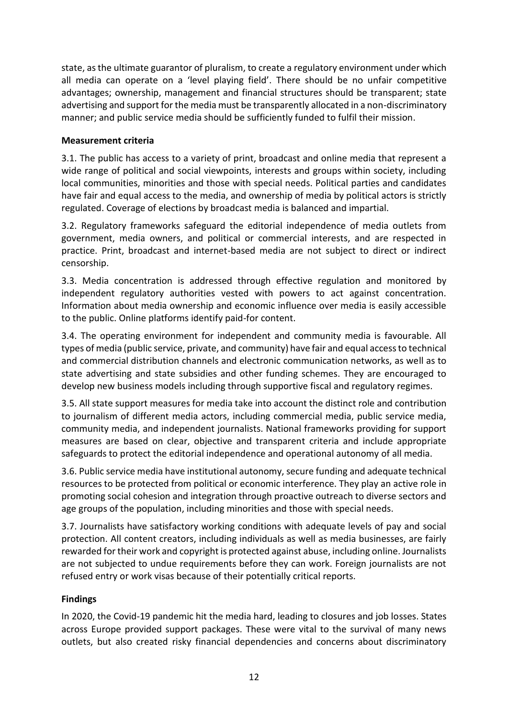state, as the ultimate guarantor of pluralism, to create a regulatory environment under which all media can operate on a 'level playing field'. There should be no unfair competitive advantages; ownership, management and financial structures should be transparent; state advertising and support for the media must be transparently allocated in a non-discriminatory manner; and public service media should be sufficiently funded to fulfil their mission.

#### **Measurement criteria**

3.1. The public has access to a variety of print, broadcast and online media that represent a wide range of political and social viewpoints, interests and groups within society, including local communities, minorities and those with special needs. Political parties and candidates have fair and equal access to the media, and ownership of media by political actors is strictly regulated. Coverage of elections by broadcast media is balanced and impartial.

3.2. Regulatory frameworks safeguard the editorial independence of media outlets from government, media owners, and political or commercial interests, and are respected in practice. Print, broadcast and internet-based media are not subject to direct or indirect censorship.

3.3. Media concentration is addressed through effective regulation and monitored by independent regulatory authorities vested with powers to act against concentration. Information about media ownership and economic influence over media is easily accessible to the public. Online platforms identify paid-for content.

3.4. The operating environment for independent and community media is favourable. All types of media (public service, private, and community) have fair and equal access to technical and commercial distribution channels and electronic communication networks, as well as to state advertising and state subsidies and other funding schemes. They are encouraged to develop new business models including through supportive fiscal and regulatory regimes.

3.5. All state support measures for media take into account the distinct role and contribution to journalism of different media actors, including commercial media, public service media, community media, and independent journalists. National frameworks providing for support measures are based on clear, objective and transparent criteria and include appropriate safeguards to protect the editorial independence and operational autonomy of all media.

3.6. Public service media have institutional autonomy, secure funding and adequate technical resources to be protected from political or economic interference. They play an active role in promoting social cohesion and integration through proactive outreach to diverse sectors and age groups of the population, including minorities and those with special needs.

3.7. Journalists have satisfactory working conditions with adequate levels of pay and social protection. All content creators, including individuals as well as media businesses, are fairly rewarded for their work and copyright is protected against abuse, including online. Journalists are not subjected to undue requirements before they can work. Foreign journalists are not refused entry or work visas because of their potentially critical reports.

#### **Findings**

In 2020, the Covid-19 pandemic hit the media hard, leading to closures and job losses. States across Europe provided support packages. These were vital to the survival of many news outlets, but also created risky financial dependencies and concerns about discriminatory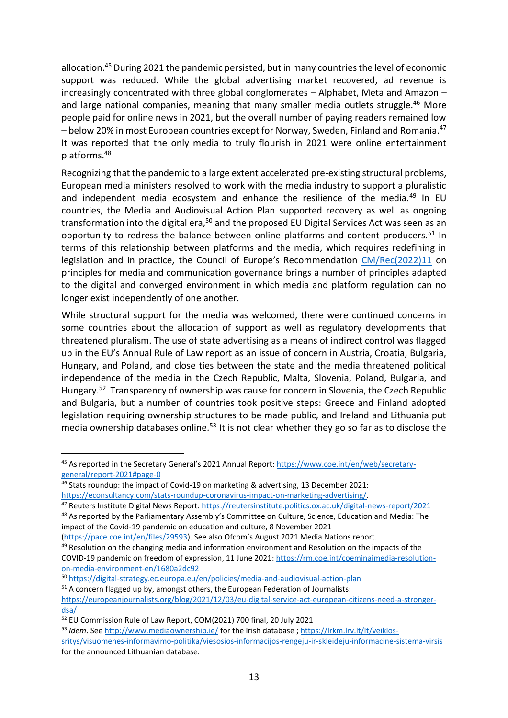allocation.<sup>45</sup> During 2021 the pandemic persisted, but in many countries the level of economic support was reduced. While the global advertising market recovered, ad revenue is increasingly concentrated with three global conglomerates – Alphabet, Meta and Amazon – and large national companies, meaning that many smaller media outlets struggle.<sup>46</sup> More people paid for online news in 2021, but the overall number of paying readers remained low – below 20% in most European countries except for Norway, Sweden, Finland and Romania.<sup>47</sup> It was reported that the only media to truly flourish in 2021 were online entertainment platforms.<sup>48</sup>

Recognizing that the pandemic to a large extent accelerated pre-existing structural problems, European media ministers resolved to work with the media industry to support a pluralistic and independent media ecosystem and enhance the resilience of the media.<sup>49</sup> In EU countries, the Media and Audiovisual Action Plan supported recovery as well as ongoing transformation into the digital era,<sup>50</sup> and the proposed EU Digital Services Act was seen as an opportunity to redress the balance between online platforms and content producers.<sup>51</sup> In terms of this relationship between platforms and the media, which requires redefining in legislation and in practice, the Council of Europe's Recommendation [CM/Rec\(2022\)11](https://search.coe.int/cm/Pages/result_details.aspx?ObjectId=0900001680a61712) on principles for media and communication governance brings a number of principles adapted to the digital and converged environment in which media and platform regulation can no longer exist independently of one another.

While structural support for the media was welcomed, there were continued concerns in some countries about the allocation of support as well as regulatory developments that threatened pluralism. The use of state advertising as a means of indirect control was flagged up in the EU's Annual Rule of Law report as an issue of concern in Austria, Croatia, Bulgaria, Hungary, and Poland, and close ties between the state and the media threatened political independence of the media in the Czech Republic, Malta, Slovenia, Poland, Bulgaria, and Hungary.<sup>52</sup> Transparency of ownership was cause for concern in Slovenia, the Czech Republic and Bulgaria, but a number of countries took positive steps: Greece and Finland adopted legislation requiring ownership structures to be made public, and Ireland and Lithuania put media ownership databases online.<sup>53</sup> It is not clear whether they go so far as to disclose the

<sup>45</sup> As reported in the Secretary General's 2021 Annual Report: [https://www.coe.int/en/web/secretary](https://www.coe.int/en/web/secretary-general/report-2021#page-0)[general/report-2021#page-0](https://www.coe.int/en/web/secretary-general/report-2021#page-0)

<sup>46</sup> Stats roundup: the impact of Covid-19 on marketing & advertising, 13 December 2021: [https://econsultancy.com/stats-roundup-coronavirus-impact-on-marketing-advertising/.](https://econsultancy.com/stats-roundup-coronavirus-impact-on-marketing-advertising/)

<sup>47</sup> Reuters Institute Digital News Report[: https://reutersinstitute.politics.ox.ac.uk/digital-news-report/2021](https://reutersinstitute.politics.ox.ac.uk/digital-news-report/2021) 48 As reported by the Parliamentary Assembly's Committee on Culture, Science, Education and Media: The impact of the Covid-19 pandemic on education and culture, 8 November 2021

[<sup>\(</sup>https://pace.coe.int/en/files/29593\)](https://pace.coe.int/en/files/29593). See also Ofcom's August 2021 Media Nations report.

 $49$  Resolution on the changing media and information environment and Resolution on the impacts of the COVID-19 pandemic on freedom of expression, 11 June 2021[: https://rm.coe.int/coeminaimedia-resolution](https://rm.coe.int/coeminaimedia-resolution-on-media-environment-en/1680a2dc92)[on-media-environment-en/1680a2dc92](https://rm.coe.int/coeminaimedia-resolution-on-media-environment-en/1680a2dc92)

<sup>50</sup> <https://digital-strategy.ec.europa.eu/en/policies/media-and-audiovisual-action-plan>

 $51$  A concern flagged up by, amongst others, the European Federation of Journalists:

[https://europeanjournalists.org/blog/2021/12/03/eu-digital-service-act-european-citizens-need-a-stronger](https://europeanjournalists.org/blog/2021/12/03/eu-digital-service-act-european-citizens-need-a-stronger-dsa/)[dsa/](https://europeanjournalists.org/blog/2021/12/03/eu-digital-service-act-european-citizens-need-a-stronger-dsa/)

<sup>52</sup> EU Commission Rule of Law Report, COM(2021) 700 final, 20 July 2021

<sup>53</sup> *Idem*. See<http://www.mediaownership.ie/> for the Irish database [; https://lrkm.lrv.lt/lt/veiklos](https://lrkm.lrv.lt/lt/veiklos-sritys/visuomenes-informavimo-politika/viesosios-informacijos-rengeju-ir-skleideju-informacine-sistema-virsis)[sritys/visuomenes-informavimo-politika/viesosios-informacijos-rengeju-ir-skleideju-informacine-sistema-virsis](https://lrkm.lrv.lt/lt/veiklos-sritys/visuomenes-informavimo-politika/viesosios-informacijos-rengeju-ir-skleideju-informacine-sistema-virsis) for the announced Lithuanian database.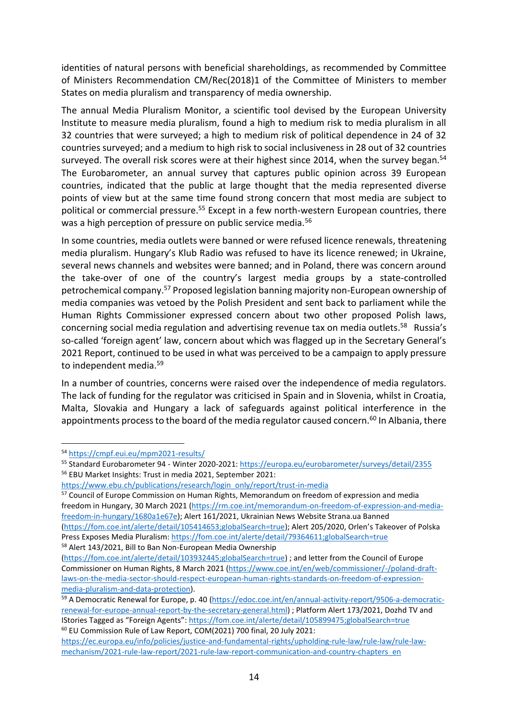identities of natural persons with beneficial shareholdings, as recommended by Committee of Ministers Recommendation CM/Rec(2018)1 of the Committee of Ministers to member States on media pluralism and transparency of media ownership.

The annual Media Pluralism Monitor, a scientific tool devised by the European University Institute to measure media pluralism, found a high to medium risk to media pluralism in all 32 countries that were surveyed; a high to medium risk of political dependence in 24 of 32 countries surveyed; and a medium to high risk to social inclusiveness in 28 out of 32 countries surveyed. The overall risk scores were at their highest since 2014, when the survey began.<sup>54</sup> The Eurobarometer, an annual survey that captures public opinion across 39 European countries, indicated that the public at large thought that the media represented diverse points of view but at the same time found strong concern that most media are subject to political or commercial pressure.<sup>55</sup> Except in a few north-western European countries, there was a high perception of pressure on public service media.<sup>56</sup>

In some countries, media outlets were banned or were refused licence renewals, threatening media pluralism. Hungary's Klub Radio was refused to have its licence renewed; in Ukraine, several news channels and websites were banned; and in Poland, there was concern around the take-over of one of the country's largest media groups by a state-controlled petrochemical company.<sup>57</sup> Proposed legislation banning majority non-European ownership of media companies was vetoed by the Polish President and sent back to parliament while the Human Rights Commissioner expressed concern about two other proposed Polish laws, concerning social media regulation and advertising revenue tax on media outlets. <sup>58</sup> Russia's so-called 'foreign agent' law, concern about which was flagged up in the Secretary General's 2021 Report, continued to be used in what was perceived to be a campaign to apply pressure to independent media.<sup>59</sup>

In a number of countries, concerns were raised over the independence of media regulators. The lack of funding for the regulator was criticised in Spain and in Slovenia, whilst in Croatia, Malta, Slovakia and Hungary a lack of safeguards against political interference in the appointments process to the board of the media regulator caused concern.<sup>60</sup> In Albania, there

<sup>57</sup> Council of Europe Commission on Human Rights, Memorandum on freedom of expression and media freedom in Hungary, 30 March 2021 [\(https://rm.coe.int/memorandum-on-freedom-of-expression-and-media](https://rm.coe.int/memorandum-on-freedom-of-expression-and-media-freedom-in-hungary/1680a1e67e)[freedom-in-hungary/1680a1e67e\)](https://rm.coe.int/memorandum-on-freedom-of-expression-and-media-freedom-in-hungary/1680a1e67e); Alert 161/2021, Ukrainian News Website Strana.ua Banned [\(https://fom.coe.int/alerte/detail/105414653;globalSearch=true\)](https://fom.coe.int/alerte/detail/105414653;globalSearch=true); Alert 205/2020, Orlen's Takeover of Polska Press Exposes Media Pluralism:<https://fom.coe.int/alerte/detail/79364611;globalSearch=true>

<sup>58</sup> Alert 143/2021, Bill to Ban Non-European Media Ownership

<sup>54</sup> <https://cmpf.eui.eu/mpm2021-results/>

<sup>55</sup> Standard Eurobarometer 94 - Winter 2020-2021:<https://europa.eu/eurobarometer/surveys/detail/2355>

<sup>56</sup> EBU Market Insights: Trust in media 2021, September 2021:

[https://www.ebu.ch/publications/research/login\\_only/report/trust-in-media](https://www.ebu.ch/publications/research/login_only/report/trust-in-media)

[<sup>\(</sup>https://fom.coe.int/alerte/detail/103932445;globalSearch=true\)](https://fom.coe.int/alerte/detail/103932445;globalSearch=true) ; and letter from the Council of Europe Commissioner on Human Rights, 8 March 2021 [\(https://www.coe.int/en/web/commissioner/-/poland-draft](https://www.coe.int/en/web/commissioner/-/poland-draft-laws-on-the-media-sector-should-respect-european-human-rights-standards-on-freedom-of-expression-media-pluralism-and-data-protection)[laws-on-the-media-sector-should-respect-european-human-rights-standards-on-freedom-of-expression](https://www.coe.int/en/web/commissioner/-/poland-draft-laws-on-the-media-sector-should-respect-european-human-rights-standards-on-freedom-of-expression-media-pluralism-and-data-protection)[media-pluralism-and-data-protection\)](https://www.coe.int/en/web/commissioner/-/poland-draft-laws-on-the-media-sector-should-respect-european-human-rights-standards-on-freedom-of-expression-media-pluralism-and-data-protection).

<sup>59</sup> A Democratic Renewal for Europe, p. 40 [\(https://edoc.coe.int/en/annual-activity-report/9506-a-democratic](https://edoc.coe.int/en/annual-activity-report/9506-a-democratic-renewal-for-europe-annual-report-by-the-secretary-general.html)[renewal-for-europe-annual-report-by-the-secretary-general.html\)](https://edoc.coe.int/en/annual-activity-report/9506-a-democratic-renewal-for-europe-annual-report-by-the-secretary-general.html) ; Platform Alert 173/2021, Dozhd TV and IStories Tagged as "Foreign Agents"[: https://fom.coe.int/alerte/detail/105899475;globalSearch=true](https://fom.coe.int/alerte/detail/105899475;globalSearch=true) <sup>60</sup> EU Commission Rule of Law Report, COM(2021) 700 final, 20 July 2021:

[https://ec.europa.eu/info/policies/justice-and-fundamental-rights/upholding-rule-law/rule-law/rule-law](https://ec.europa.eu/info/policies/justice-and-fundamental-rights/upholding-rule-law/rule-law/rule-law-mechanism/2021-rule-law-report/2021-rule-law-report-communication-and-country-chapters_en)[mechanism/2021-rule-law-report/2021-rule-law-report-communication-and-country-chapters\\_en](https://ec.europa.eu/info/policies/justice-and-fundamental-rights/upholding-rule-law/rule-law/rule-law-mechanism/2021-rule-law-report/2021-rule-law-report-communication-and-country-chapters_en)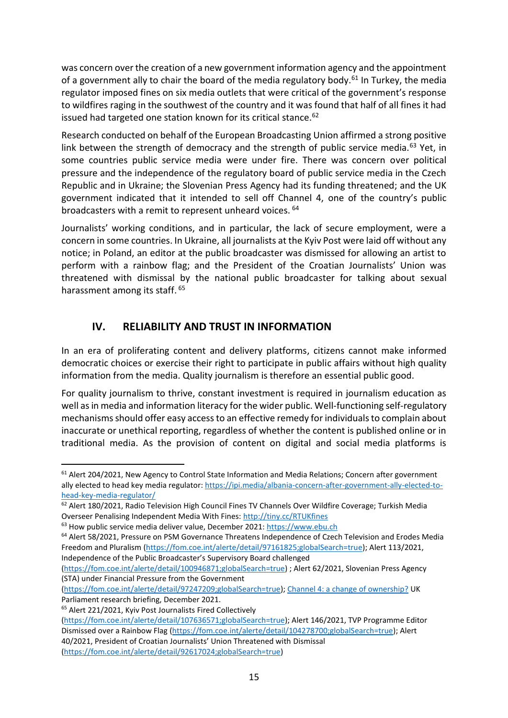was concern over the creation of a new government information agency and the appointment of a government ally to chair the board of the media regulatory body. $61$  In Turkey, the media regulator imposed fines on six media outlets that were critical of the government's response to wildfires raging in the southwest of the country and it was found that half of all fines it had issued had targeted one station known for its critical stance.<sup>62</sup>

Research conducted on behalf of the European Broadcasting Union affirmed a strong positive link between the strength of democracy and the strength of public service media.<sup>63</sup> Yet, in some countries public service media were under fire. There was concern over political pressure and the independence of the regulatory board of public service media in the Czech Republic and in Ukraine; the Slovenian Press Agency had its funding threatened; and the UK government indicated that it intended to sell off Channel 4, one of the country's public broadcasters with a remit to represent unheard voices. <sup>64</sup>

Journalists' working conditions, and in particular, the lack of secure employment, were a concern in some countries. In Ukraine, all journalists at the Kyiv Post were laid off without any notice; in Poland, an editor at the public broadcaster was dismissed for allowing an artist to perform with a rainbow flag; and the President of the Croatian Journalists' Union was threatened with dismissal by the national public broadcaster for talking about sexual harassment among its staff. 65

# **IV. RELIABILITY AND TRUST IN INFORMATION**

<span id="page-16-0"></span>In an era of proliferating content and delivery platforms, citizens cannot make informed democratic choices or exercise their right to participate in public affairs without high quality information from the media. Quality journalism is therefore an essential public good.

For quality journalism to thrive, constant investment is required in journalism education as well as in media and information literacy for the wider public. Well-functioning self-regulatory mechanisms should offer easy access to an effective remedy for individuals to complain about inaccurate or unethical reporting, regardless of whether the content is published online or in traditional media. As the provision of content on digital and social media platforms is

[\(https://fom.coe.int/alerte/detail/97247209;globalSearch=true\)](https://fom.coe.int/alerte/detail/97247209;globalSearch=true); [Channel 4: a change of ownership?](https://commonslibrary.parliament.uk/research-briefings/cbp-9280/) UK Parliament research briefing, December 2021.

<sup>&</sup>lt;sup>61</sup> Alert 204/2021, New Agency to Control State Information and Media Relations; Concern after government ally elected to head key media regulator[: https://ipi.media/albania-concern-after-government-ally-elected-to](https://ipi.media/albania-concern-after-government-ally-elected-to-head-key-media-regulator/)[head-key-media-regulator/](https://ipi.media/albania-concern-after-government-ally-elected-to-head-key-media-regulator/)

<sup>&</sup>lt;sup>62</sup> Alert 180/2021, Radio Television High Council Fines TV Channels Over Wildfire Coverage; Turkish Media Overseer Penalising Independent Media With Fines:<http://tiny.cc/RTUKfines>

<sup>63</sup> How public service media deliver value, December 2021: [https://www.ebu.ch](https://www.ebu.ch/)

<sup>64</sup> Alert 58/2021, Pressure on PSM Governance Threatens Independence of Czech Television and Erodes Media Freedom and Pluralism [\(https://fom.coe.int/alerte/detail/97161825;globalSearch=true\)](https://fom.coe.int/alerte/detail/97161825;globalSearch=true); Alert 113/2021, Independence of the Public Broadcaster's Supervisory Board challenged

[<sup>\(</sup>https://fom.coe.int/alerte/detail/100946871;globalSearch=true\)](https://fom.coe.int/alerte/detail/100946871;globalSearch=true) ; Alert 62/2021, Slovenian Press Agency (STA) under Financial Pressure from the Government

<sup>65</sup> Alert 221/2021, Kyiv Post Journalists Fired Collectively

[<sup>\(</sup>https://fom.coe.int/alerte/detail/107636571;globalSearch=true\)](https://fom.coe.int/alerte/detail/107636571;globalSearch=true); Alert 146/2021, TVP Programme Editor Dismissed over a Rainbow Flag [\(https://fom.coe.int/alerte/detail/104278700;globalSearch=true\)](https://fom.coe.int/alerte/detail/104278700;globalSearch=true); Alert 40/2021, President of Croatian Journalists' Union Threatened with Dismissal [\(https://fom.coe.int/alerte/detail/92617024;globalSearch=true\)](https://fom.coe.int/alerte/detail/92617024;globalSearch=true)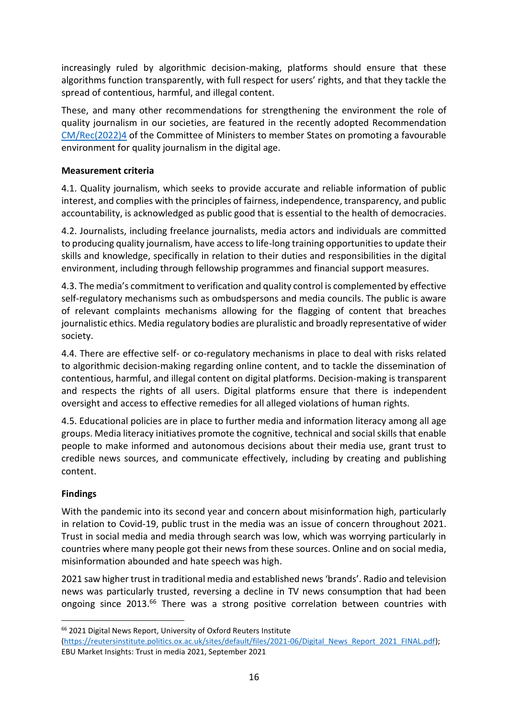increasingly ruled by algorithmic decision-making, platforms should ensure that these algorithms function transparently, with full respect for users' rights, and that they tackle the spread of contentious, harmful, and illegal content.

These, and many other recommendations for strengthening the environment the role of quality journalism in our societies, are featured in the recently adopted Recommendation [CM/Rec\(2022\)4](https://search.coe.int/cm/pages/result_details.aspx?objectid=0900001680a5ddd0) of the Committee of Ministers to member States on promoting a favourable environment for quality journalism in the digital age.

#### **Measurement criteria**

4.1. Quality journalism, which seeks to provide accurate and reliable information of public interest, and complies with the principles of fairness, independence, transparency, and public accountability, is acknowledged as public good that is essential to the health of democracies.

4.2. Journalists, including freelance journalists, media actors and individuals are committed to producing quality journalism, have access to life-long training opportunities to update their skills and knowledge, specifically in relation to their duties and responsibilities in the digital environment, including through fellowship programmes and financial support measures.

4.3. The media's commitment to verification and quality control is complemented by effective self-regulatory mechanisms such as ombudspersons and media councils. The public is aware of relevant complaints mechanisms allowing for the flagging of content that breaches journalistic ethics. Media regulatory bodies are pluralistic and broadly representative of wider society.

4.4. There are effective self- or co-regulatory mechanisms in place to deal with risks related to algorithmic decision-making regarding online content, and to tackle the dissemination of contentious, harmful, and illegal content on digital platforms. Decision-making is transparent and respects the rights of all users. Digital platforms ensure that there is independent oversight and access to effective remedies for all alleged violations of human rights.

4.5. Educational policies are in place to further media and information literacy among all age groups. Media literacy initiatives promote the cognitive, technical and social skills that enable people to make informed and autonomous decisions about their media use, grant trust to credible news sources, and communicate effectively, including by creating and publishing content.

#### **Findings**

With the pandemic into its second year and concern about misinformation high, particularly in relation to Covid-19, public trust in the media was an issue of concern throughout 2021. Trust in social media and media through search was low, which was worrying particularly in countries where many people got their news from these sources. Online and on social media, misinformation abounded and hate speech was high.

2021 saw higher trust in traditional media and established news 'brands'. Radio and television news was particularly trusted, reversing a decline in TV news consumption that had been ongoing since 2013.<sup>66</sup> There was a strong positive correlation between countries with

<sup>66</sup> 2021 Digital News Report, University of Oxford Reuters Institute

[<sup>\(</sup>https://reutersinstitute.politics.ox.ac.uk/sites/default/files/2021-06/Digital\\_News\\_Report\\_2021\\_FINAL.pdf\)](https://reutersinstitute.politics.ox.ac.uk/sites/default/files/2021-06/Digital_News_Report_2021_FINAL.pdf); EBU Market Insights: Trust in media 2021, September 2021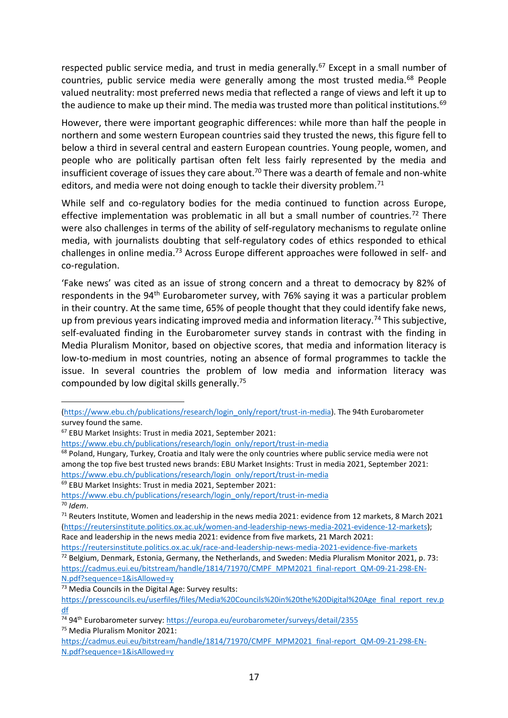respected public service media, and trust in media generally.<sup>67</sup> Except in a small number of countries, public service media were generally among the most trusted media.<sup>68</sup> People valued neutrality: most preferred news media that reflected a range of views and left it up to the audience to make up their mind. The media was trusted more than political institutions.<sup>69</sup>

However, there were important geographic differences: while more than half the people in northern and some western European countries said they trusted the news, this figure fell to below a third in several central and eastern European countries. Young people, women, and people who are politically partisan often felt less fairly represented by the media and insufficient coverage of issues they care about.<sup>70</sup> There was a dearth of female and non-white editors, and media were not doing enough to tackle their diversity problem.<sup>71</sup>

While self and co-regulatory bodies for the media continued to function across Europe, effective implementation was problematic in all but a small number of countries.<sup>72</sup> There were also challenges in terms of the ability of self-regulatory mechanisms to regulate online media, with journalists doubting that self-regulatory codes of ethics responded to ethical challenges in online media.<sup>73</sup> Across Europe different approaches were followed in self- and co-regulation.

'Fake news' was cited as an issue of strong concern and a threat to democracy by 82% of respondents in the 94<sup>th</sup> Eurobarometer survey, with 76% saying it was a particular problem in their country. At the same time, 65% of people thought that they could identify fake news, up from previous years indicating improved media and information literacy.<sup>74</sup> This subjective, self-evaluated finding in the Eurobarometer survey stands in contrast with the finding in Media Pluralism Monitor, based on objective scores, that media and information literacy is low-to-medium in most countries, noting an absence of formal programmes to tackle the issue. In several countries the problem of low media and information literacy was compounded by low digital skills generally.<sup>75</sup>

<sup>67</sup> EBU Market Insights: Trust in media 2021, September 2021:

<sup>73</sup> Media Councils in the Digital Age: Survey results:

[<sup>\(</sup>https://www.ebu.ch/publications/research/login\\_only/report/trust-in-media\)](https://www.ebu.ch/publications/research/login_only/report/trust-in-media). The 94th Eurobarometer survey found the same.

[https://www.ebu.ch/publications/research/login\\_only/report/trust-in-media](https://www.ebu.ch/publications/research/login_only/report/trust-in-media)

<sup>&</sup>lt;sup>68</sup> Poland, Hungary, Turkey, Croatia and Italy were the only countries where public service media were not among the top five best trusted news brands: EBU Market Insights: Trust in media 2021, September 2021: [https://www.ebu.ch/publications/research/login\\_only/report/trust-in-media](https://www.ebu.ch/publications/research/login_only/report/trust-in-media)

<sup>69</sup> EBU Market Insights: Trust in media 2021, September 2021:

[https://www.ebu.ch/publications/research/login\\_only/report/trust-in-media](https://www.ebu.ch/publications/research/login_only/report/trust-in-media) <sup>70</sup> *Idem*.

 $71$  Reuters Institute, Women and leadership in the news media 2021: evidence from 12 markets, 8 March 2021 [\(https://reutersinstitute.politics.ox.ac.uk/women-and-leadership-news-media-2021-evidence-12-markets\)](https://reutersinstitute.politics.ox.ac.uk/women-and-leadership-news-media-2021-evidence-12-markets); Race and leadership in the news media 2021: evidence from five markets, 21 March 2021:

<https://reutersinstitute.politics.ox.ac.uk/race-and-leadership-news-media-2021-evidence-five-markets>  $72$  Belgium, Denmark, Estonia, Germany, the Netherlands, and Sweden: Media Pluralism Monitor 2021, p. 73: [https://cadmus.eui.eu/bitstream/handle/1814/71970/CMPF\\_MPM2021\\_final-report\\_QM-09-21-298-EN-](https://cadmus.eui.eu/bitstream/handle/1814/71970/CMPF_MPM2021_final-report_QM-09-21-298-EN-N.pdf?sequence=1&isAllowed=y)[N.pdf?sequence=1&isAllowed=y](https://cadmus.eui.eu/bitstream/handle/1814/71970/CMPF_MPM2021_final-report_QM-09-21-298-EN-N.pdf?sequence=1&isAllowed=y)

[https://presscouncils.eu/userfiles/files/Media%20Councils%20in%20the%20Digital%20Age\\_final\\_report\\_rev.p](https://presscouncils.eu/userfiles/files/Media%20Councils%20in%20the%20Digital%20Age_final_report_rev.pdf) [df](https://presscouncils.eu/userfiles/files/Media%20Councils%20in%20the%20Digital%20Age_final_report_rev.pdf)

<sup>74 94&</sup>lt;sup>th</sup> Eurobarometer survey:<https://europa.eu/eurobarometer/surveys/detail/2355> <sup>75</sup> Media Pluralism Monitor 2021:

[https://cadmus.eui.eu/bitstream/handle/1814/71970/CMPF\\_MPM2021\\_final-report\\_QM-09-21-298-EN-](https://cadmus.eui.eu/bitstream/handle/1814/71970/CMPF_MPM2021_final-report_QM-09-21-298-EN-N.pdf?sequence=1&isAllowed=y)[N.pdf?sequence=1&isAllowed=y](https://cadmus.eui.eu/bitstream/handle/1814/71970/CMPF_MPM2021_final-report_QM-09-21-298-EN-N.pdf?sequence=1&isAllowed=y)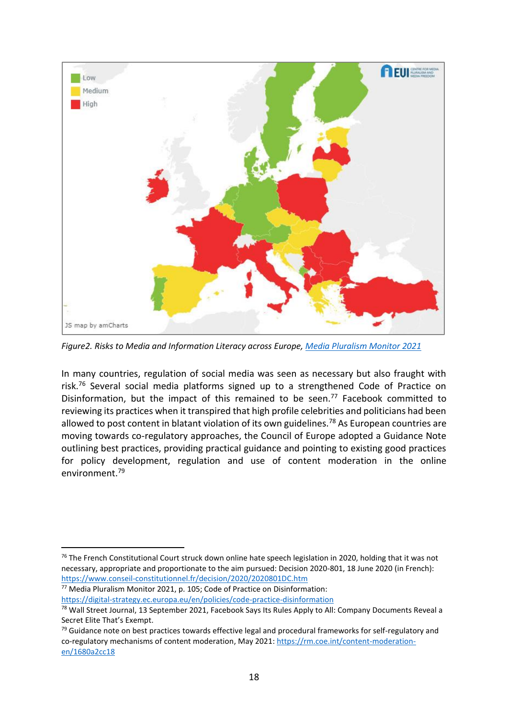

*Figure2. Risks to Media and Information Literacy across Europe, [Media Pluralism Monitor 2021](https://cmpf.eui.eu/mpm2021-results/)*

In many countries, regulation of social media was seen as necessary but also fraught with risk.<sup>76</sup> Several social media platforms signed up to a strengthened Code of Practice on Disinformation, but the impact of this remained to be seen.<sup>77</sup> Facebook committed to reviewing its practices when it transpired that high profile celebrities and politicians had been allowed to post content in blatant violation of its own guidelines.<sup>78</sup> As European countries are moving towards co-regulatory approaches, the Council of Europe adopted a Guidance Note outlining best practices, providing practical guidance and pointing to existing good practices for policy development, regulation and use of content moderation in the online environment.<sup>79</sup>

<sup>77</sup> Media Pluralism Monitor 2021, p. 105; Code of Practice on Disinformation: <https://digital-strategy.ec.europa.eu/en/policies/code-practice-disinformation>

<sup>&</sup>lt;sup>76</sup> The French Constitutional Court struck down online hate speech legislation in 2020, holding that it was not necessary, appropriate and proportionate to the aim pursued: Decision 2020-801, 18 June 2020 (in French): <https://www.conseil-constitutionnel.fr/decision/2020/2020801DC.htm>

<sup>&</sup>lt;sup>78</sup> Wall Street Journal, 13 September 2021, Facebook Says Its Rules Apply to All: Company Documents Reveal a Secret Elite That's Exempt.

 $79$  Guidance note on best practices towards effective legal and procedural frameworks for self-regulatory and co-regulatory mechanisms of content moderation, May 2021[: https://rm.coe.int/content-moderation](https://rm.coe.int/content-moderation-en/1680a2cc18)[en/1680a2cc18](https://rm.coe.int/content-moderation-en/1680a2cc18)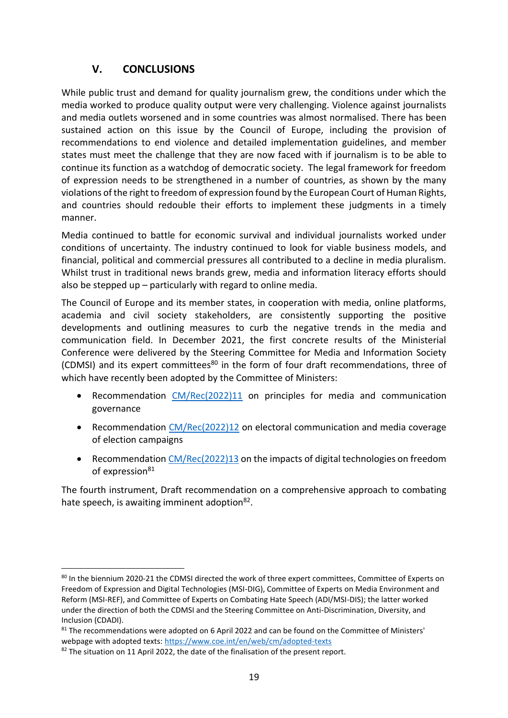## **V. CONCLUSIONS**

<span id="page-20-0"></span>While public trust and demand for quality journalism grew, the conditions under which the media worked to produce quality output were very challenging. Violence against journalists and media outlets worsened and in some countries was almost normalised. There has been sustained action on this issue by the Council of Europe, including the provision of recommendations to end violence and detailed implementation guidelines, and member states must meet the challenge that they are now faced with if journalism is to be able to continue its function as a watchdog of democratic society. The legal framework for freedom of expression needs to be strengthened in a number of countries, as shown by the many violations of the right to freedom of expression found by the European Court of Human Rights, and countries should redouble their efforts to implement these judgments in a timely manner.

Media continued to battle for economic survival and individual journalists worked under conditions of uncertainty. The industry continued to look for viable business models, and financial, political and commercial pressures all contributed to a decline in media pluralism. Whilst trust in traditional news brands grew, media and information literacy efforts should also be stepped up – particularly with regard to online media.

The Council of Europe and its member states, in cooperation with media, online platforms, academia and civil society stakeholders, are consistently supporting the positive developments and outlining measures to curb the negative trends in the media and communication field. In December 2021, the first concrete results of the Ministerial Conference were delivered by the Steering Committee for Media and Information Society (CDMSI) and its expert committees $80$  in the form of four draft recommendations, three of which have recently been adopted by the Committee of Ministers:

- Recommendation [CM/Rec\(2022\)11](https://search.coe.int/cm/Pages/result_details.aspx?ObjectId=0900001680a61712) on principles for media and communication governance
- Recommendation [CM/Rec\(2022\)12](https://search.coe.int/cm/Pages/result_details.aspx?ObjectId=0900001680a6172e) on electoral communication and media coverage of election campaigns
- Recommendation [CM/Rec\(2022\)13](https://search.coe.int/cm/Pages/result_details.aspx?ObjectId=0900001680a61729) on the impacts of digital technologies on freedom of expression<sup>81</sup>

The fourth instrument, Draft recommendation on a comprehensive approach to combating hate speech, is awaiting imminent adoption<sup>82</sup>.

<sup>80</sup> In the biennium 2020-21 the CDMSI directed the work of three expert committees, Committee of Experts on Freedom of Expression and Digital Technologies (MSI-DIG), Committee of Experts on Media Environment and Reform (MSI-REF), and Committee of Experts on Combating Hate Speech (ADI/MSI-DIS); the latter worked under the direction of both the CDMSI and the Steering Committee on Anti-Discrimination, Diversity, and Inclusion (CDADI).

<sup>&</sup>lt;sup>81</sup> The recommendations were adopted on 6 April 2022 and can be found on the Committee of Ministers' webpage with adopted texts:<https://www.coe.int/en/web/cm/adopted-texts>

<sup>82</sup> The situation on 11 April 2022, the date of the finalisation of the present report.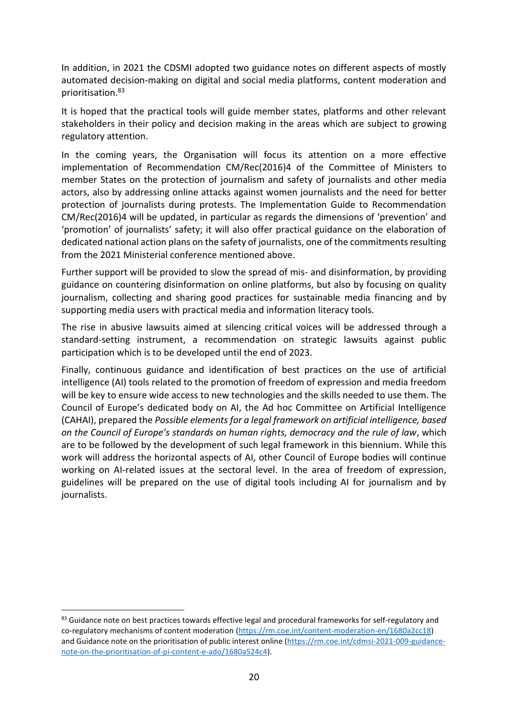In addition, in 2021 the CDSMI adopted two guidance notes on different aspects of mostly automated decision-making on digital and social media platforms, content moderation and prioritisation.<sup>83</sup>

It is hoped that the practical tools will guide member states, platforms and other relevant stakeholders in their policy and decision making in the areas which are subject to growing regulatory attention.

In the coming years, the Organisation will focus its attention on a more effective implementation of Recommendation CM/Rec(2016)4 of the Committee of Ministers to member States on the protection of journalism and safety of journalists and other media actors, also by addressing online attacks against women journalists and the need for better protection of journalists during protests. The Implementation Guide to Recommendation CM/Rec(2016)4 will be updated, in particular as regards the dimensions of 'prevention' and 'promotion' of journalists' safety; it will also offer practical guidance on the elaboration of dedicated national action plans on the safety of journalists, one of the commitments resulting from the 2021 Ministerial conference mentioned above.

Further support will be provided to slow the spread of mis- and disinformation, by providing guidance on countering disinformation on online platforms, but also by focusing on quality journalism, collecting and sharing good practices for sustainable media financing and by supporting media users with practical media and information literacy tools.

The rise in abusive lawsuits aimed at silencing critical voices will be addressed through a standard-setting instrument, a recommendation on strategic lawsuits against public participation which is to be developed until the end of 2023.

Finally, continuous guidance and identification of best practices on the use of artificial intelligence (AI) tools related to the promotion of freedom of expression and media freedom will be key to ensure wide access to new technologies and the skills needed to use them. The Council of Europe's dedicated body on AI, the Ad hoc Committee on Artificial Intelligence (CAHAI), prepared the *Possible elements for a legal framework on artificial intelligence, based on the Council of Europe's standards on human rights, democracy and the rule of law*, which are to be followed by the development of such legal framework in this biennium. While this work will address the horizontal aspects of AI, other Council of Europe bodies will continue working on AI-related issues at the sectoral level. In the area of freedom of expression, guidelines will be prepared on the use of digital tools including AI for journalism and by journalists.

<sup>83</sup> Guidance note on best practices towards effective legal and procedural frameworks for self-regulatory and co-regulatory mechanisms of content moderation [\(https://rm.coe.int/content-moderation-en/1680a2cc18\)](https://rm.coe.int/content-moderation-en/1680a2cc18) and Guidance note on the prioritisation of public interest online [\(https://rm.coe.int/cdmsi-2021-009-guidance](https://rm.coe.int/cdmsi-2021-009-guidance-note-on-the-prioritisation-of-pi-content-e-ado/1680a524c4)[note-on-the-prioritisation-of-pi-content-e-ado/1680a524c4\)](https://rm.coe.int/cdmsi-2021-009-guidance-note-on-the-prioritisation-of-pi-content-e-ado/1680a524c4).